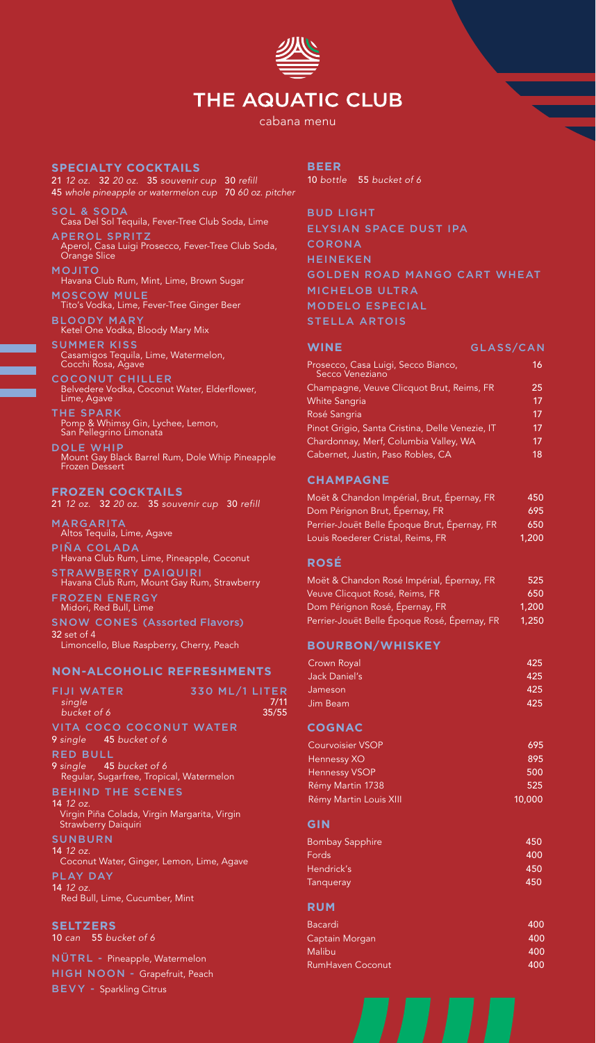# THE AQUATIC CLUB

cabana menu

#### **SPECIALTY COCKTAILS**

21 *12 oz.* 32 *20 oz.* 35 *souvenir cup* 30 refill 45 *whole pineapple or watermelon cup* 70 *60 oz. pitcher*

- SOL & SODA Casa Del Sol Tequila, Fever-Tree Club Soda, Lime
- APEROL SPRITZ Aperol, Casa Luigi Prosecco, Fever-Tree Club Soda, Orange Slice
- MOJITO Havana Club Rum, Mint, Lime, Brown Sugar
- MOSCOW MULE Tito's Vodka, Lime, Fever-Tree Ginger Beer
- BLOODY MARY Ketel One Vodka, Bloody Mary Mix
- SUMMER KISS Casamigos Tequila, Lime, Watermelon, Cocchi Rosa, Agave
- COCONUT CHILLER Belvedere Vodka, Coconut Water, Elderflower, Lime, Agave
- THE SPARK Pomp & Whimsy Gin, Lychee, Lemon, San Pellegrino Limonata
- DOLE WHIP Mount Gay Black Barrel Rum, Dole Whip Pineapple Frozen Dessert

#### **FROZEN COCKTAILS**

21 *12 oz.* 32 *20 oz.* 35 *souvenir cup* 30 *refill*

- MARGARITA Altos Tequila, Lime, Agave
- PIÑA COLADA Havana Club Rum, Lime, Pineapple, Coconut
- STRAWBERRY DAIQUIRI Havana Club Rum, Mount Gay Rum, Strawberry
- FROZEN ENERGY Midori, Red Bull, Lime
- SNOW CONES (Assorted Flavors) 32 set of 4
- Limoncello, Blue Raspberry, Cherry, Peach

#### **NON-ALCOHOLIC REFRESHMENTS**

| <b>FIJI WATER</b><br>single<br>bucket of 6                                                     | 330 ML/1 LITER | 7/11<br>35/55 |
|------------------------------------------------------------------------------------------------|----------------|---------------|
| VITA COCO COCONUT WATER<br>9 single 45 bucket of 6                                             |                |               |
| <b>RED BULL</b>                                                                                |                |               |
| 9 single 45 bucket of 6<br>Regular, Sugarfree, Tropical, Watermelon                            |                |               |
| <b>BEHIND THE SCENES</b>                                                                       |                |               |
| 14 <i>12 oz.</i><br>Virgin Piña Colada, Virgin Margarita, Virgin<br><b>Strawberry Daiquiri</b> |                |               |
| <b>SUNBURN</b>                                                                                 |                |               |
| 14 12 oz.<br>Coconut Water, Ginger, Lemon, Lime, Agave                                         |                |               |
| PLAY DAY                                                                                       |                |               |
| 1412 oz.<br>Red Bull, Lime, Cucumber, Mint                                                     |                |               |

#### **SELTZERS**

10 *can* 55 *bucket of 6*

NÜTRL - Pineapple, Watermelon HIGH NOON - Grapefruit, Peach BEVY - Sparkling Citrus

#### **BEER**

10 *bottle* 55 *bucket of 6*

BUD LIGHT ELYSIAN SPACE DUST IPA CORONA **HEINEKEN** GOLDEN ROAD MANGO CART WHEAT MICHELOB ULTRA MODELO ESPECIAL STELLA ARTOIS

| <b>WINE</b>                                            | GLASS/CAN |
|--------------------------------------------------------|-----------|
| Prosecco, Casa Luigi, Secco Bianco,<br>Secco Veneziano | 16.       |
| Champagne, Veuve Clicquot Brut, Reims, FR              | 25        |
| <b>White Sangria</b>                                   | 17        |
| Rosé Sangria                                           | 17        |
| Pinot Grigio, Santa Cristina, Delle Venezie, IT        | 17        |
| Chardonnay, Merf, Columbia Valley, WA                  | 17        |
| Cabernet, Justin, Paso Robles, CA                      | 18        |

#### **CHAMPAGNE**

| Moët & Chandon Impérial, Brut, Épernay, FR   | 450   |
|----------------------------------------------|-------|
| Dom Pérignon Brut, Épernay, FR               | 695   |
| Perrier-Jouët Belle Époque Brut, Épernay, FR | 650   |
| Louis Roederer Cristal, Reims, FR            | 1,200 |

#### **ROSÉ**

| Moët & Chandon Rosé Impérial, Épernay, FR    | 525   |
|----------------------------------------------|-------|
| Veuve Clicquot Rosé, Reims, FR               | 650   |
| Dom Pérignon Rosé, Épernay, FR               | 1,200 |
| Perrier-Jouët Belle Époque Rosé, Épernay, FR | 1,250 |

#### **BOURBON/WHISKEY**

| Crown Royal   | 425 |
|---------------|-----|
| Jack Daniel's | 425 |
| Jameson       | 425 |
| Jim Beam      | 425 |

## **COGNAC**

| Courvoisier VSOP       | 695    |  |
|------------------------|--------|--|
| Hennessy XO            | 895    |  |
| <b>Hennessy VSOP</b>   | 500    |  |
| Rémy Martin 1738       | 525    |  |
| Rémy Martin Louis XIII | 10,000 |  |

#### **GIN**

| 450 |
|-----|
| 400 |
| 450 |
| 450 |
|     |

## **RUM**

| <b>Bacardi</b>          | 400 |
|-------------------------|-----|
| Captain Morgan          | 400 |
| <b>Malibu</b>           | 400 |
| <b>RumHaven Coconut</b> | 400 |